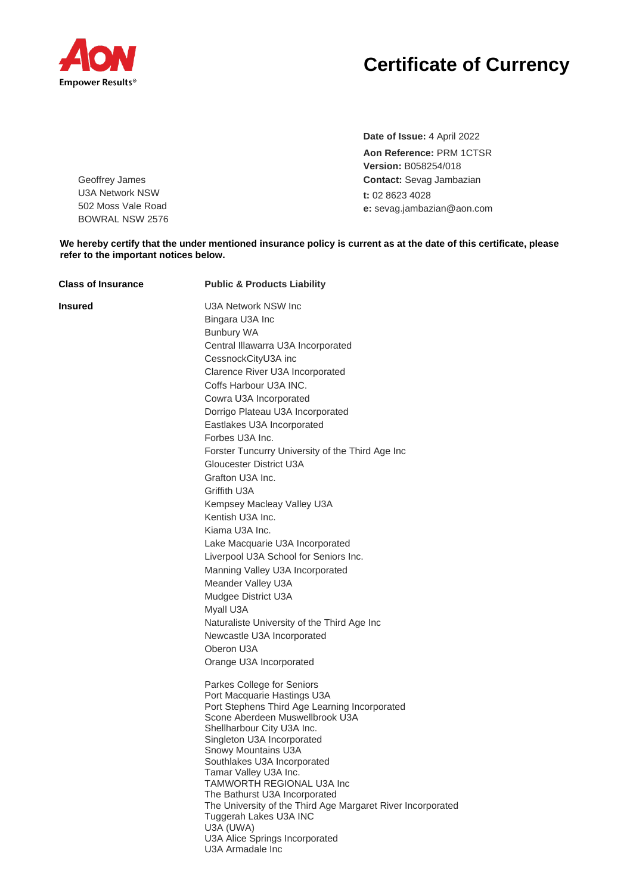

Geoffrey James U3A Network NSW 502 Moss Vale Road BOWRAL NSW 2576

## **Certificate of Currency**

**Date of Issue:** 4 April 2022 **Aon Reference:** PRM 1CTSR **Version:** B058254/018 **Contact:** Sevag Jambazian **t:** 02 8623 4028 **e:** sevag.jambazian@aon.com

**We hereby certify that the under mentioned insurance policy is current as at the date of this certificate, please refer to the important notices below.**

| <b>Class of Insurance</b> | <b>Public &amp; Products Liability</b>                                                                                                                                                                                                                                                                                                                                                                                                                                                                                                                                                                                                                                                                                                                          |
|---------------------------|-----------------------------------------------------------------------------------------------------------------------------------------------------------------------------------------------------------------------------------------------------------------------------------------------------------------------------------------------------------------------------------------------------------------------------------------------------------------------------------------------------------------------------------------------------------------------------------------------------------------------------------------------------------------------------------------------------------------------------------------------------------------|
| Insured                   | U3A Network NSW Inc<br>Bingara U3A Inc<br><b>Bunbury WA</b><br>Central Illawarra U3A Incorporated<br>CessnockCityU3A inc<br>Clarence River U3A Incorporated<br>Coffs Harbour U3A INC.<br>Cowra U3A Incorporated<br>Dorrigo Plateau U3A Incorporated<br>Eastlakes U3A Incorporated<br>Forbes U3A Inc.<br>Forster Tuncurry University of the Third Age Inc<br>Gloucester District U3A<br>Grafton U3A Inc.<br>Griffith U3A<br>Kempsey Macleay Valley U3A<br>Kentish U3A Inc.<br>Kiama U3A Inc.<br>Lake Macquarie U3A Incorporated<br>Liverpool U3A School for Seniors Inc.<br>Manning Valley U3A Incorporated<br>Meander Valley U3A<br>Mudgee District U3A<br>Myall U3A<br>Naturaliste University of the Third Age Inc<br>Newcastle U3A Incorporated<br>Oberon U3A |
|                           | Orange U3A Incorporated<br>Parkes College for Seniors<br>Port Macquarie Hastings U3A<br>Port Stephens Third Age Learning Incorporated<br>Scone Aberdeen Muswellbrook U3A<br>Shellharbour City U3A Inc.<br>Singleton U3A Incorporated<br>Snowy Mountains U3A<br>Southlakes U3A Incorporated<br>Tamar Valley U3A Inc.<br>TAMWORTH REGIONAL U3A Inc<br>The Bathurst U3A Incorporated<br>The University of the Third Age Margaret River Incorporated<br>Tuggerah Lakes U3A INC<br>U3A (UWA)<br>U3A Alice Springs Incorporated<br>U3A Armadale Inc                                                                                                                                                                                                                   |